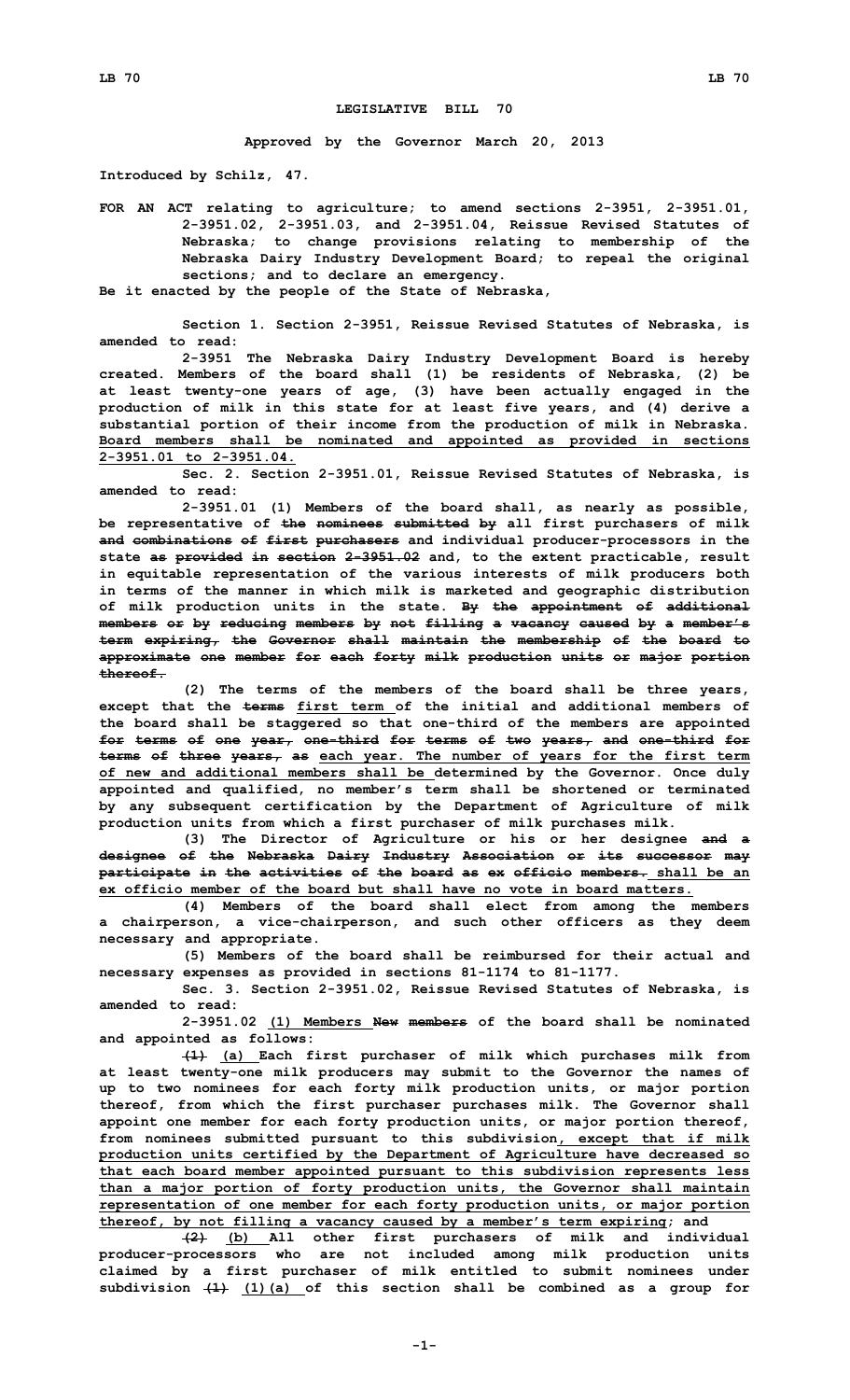## **LEGISLATIVE BILL 70**

**Approved by the Governor March 20, 2013**

**Introduced by Schilz, 47.**

**FOR AN ACT relating to agriculture; to amend sections 2-3951, 2-3951.01, 2-3951.02, 2-3951.03, and 2-3951.04, Reissue Revised Statutes of Nebraska; to change provisions relating to membership of the Nebraska Dairy Industry Development Board; to repeal the original sections; and to declare an emergency.**

**Be it enacted by the people of the State of Nebraska,**

**Section 1. Section 2-3951, Reissue Revised Statutes of Nebraska, is amended to read:**

**2-3951 The Nebraska Dairy Industry Development Board is hereby created. Members of the board shall (1) be residents of Nebraska, (2) be at least twenty-one years of age, (3) have been actually engaged in the production of milk in this state for at least five years, and (4) derive <sup>a</sup> substantial portion of their income from the production of milk in Nebraska. Board members shall be nominated and appointed as provided in sections 2-3951.01 to 2-3951.04.**

**Sec. 2. Section 2-3951.01, Reissue Revised Statutes of Nebraska, is amended to read:**

**2-3951.01 (1) Members of the board shall, as nearly as possible, be representative of the nominees submitted by all first purchasers of milk and combinations of first purchasers and individual producer-processors in the state as provided in section 2-3951.02 and, to the extent practicable, result in equitable representation of the various interests of milk producers both in terms of the manner in which milk is marketed and geographic distribution of milk production units in the state. By the appointment of additional members or by reducing members by not filling <sup>a</sup> vacancy caused by <sup>a</sup> member's term expiring, the Governor shall maintain the membership of the board to approximate one member for each forty milk production units or major portion thereof.**

**(2) The terms of the members of the board shall be three years, except that the terms first term of the initial and additional members of the board shall be staggered so that one-third of the members are appointed for terms of one year, one-third for terms of two years, and one-third for terms of three years, as each year. The number of years for the first term of new and additional members shall be determined by the Governor. Once duly appointed and qualified, no member's term shall be shortened or terminated by any subsequent certification by the Department of Agriculture of milk production units from which <sup>a</sup> first purchaser of milk purchases milk.**

**(3) The Director of Agriculture or his or her designee and <sup>a</sup> designee of the Nebraska Dairy Industry Association or its successor may participate in the activities of the board as ex officio members. shall be an ex officio member of the board but shall have no vote in board matters.**

**(4) Members of the board shall elect from among the members <sup>a</sup> chairperson, <sup>a</sup> vice-chairperson, and such other officers as they deem necessary and appropriate.**

**(5) Members of the board shall be reimbursed for their actual and necessary expenses as provided in sections 81-1174 to 81-1177.**

**Sec. 3. Section 2-3951.02, Reissue Revised Statutes of Nebraska, is amended to read:**

**2-3951.02 (1) Members New members of the board shall be nominated and appointed as follows:**

**(1) (a) Each first purchaser of milk which purchases milk from at least twenty-one milk producers may submit to the Governor the names of up to two nominees for each forty milk production units, or major portion thereof, from which the first purchaser purchases milk. The Governor shall appoint one member for each forty production units, or major portion thereof, from nominees submitted pursuant to this subdivision, except that if milk production units certified by the Department of Agriculture have decreased so that each board member appointed pursuant to this subdivision represents less than <sup>a</sup> major portion of forty production units, the Governor shall maintain representation of one member for each forty production units, or major portion thereof, by not filling <sup>a</sup> vacancy caused by <sup>a</sup> member's term expiring; and**

**(2) (b) All other first purchasers of milk and individual producer-processors who are not included among milk production units claimed by <sup>a</sup> first purchaser of milk entitled to submit nominees under subdivision (1) (1)(a) of this section shall be combined as <sup>a</sup> group for**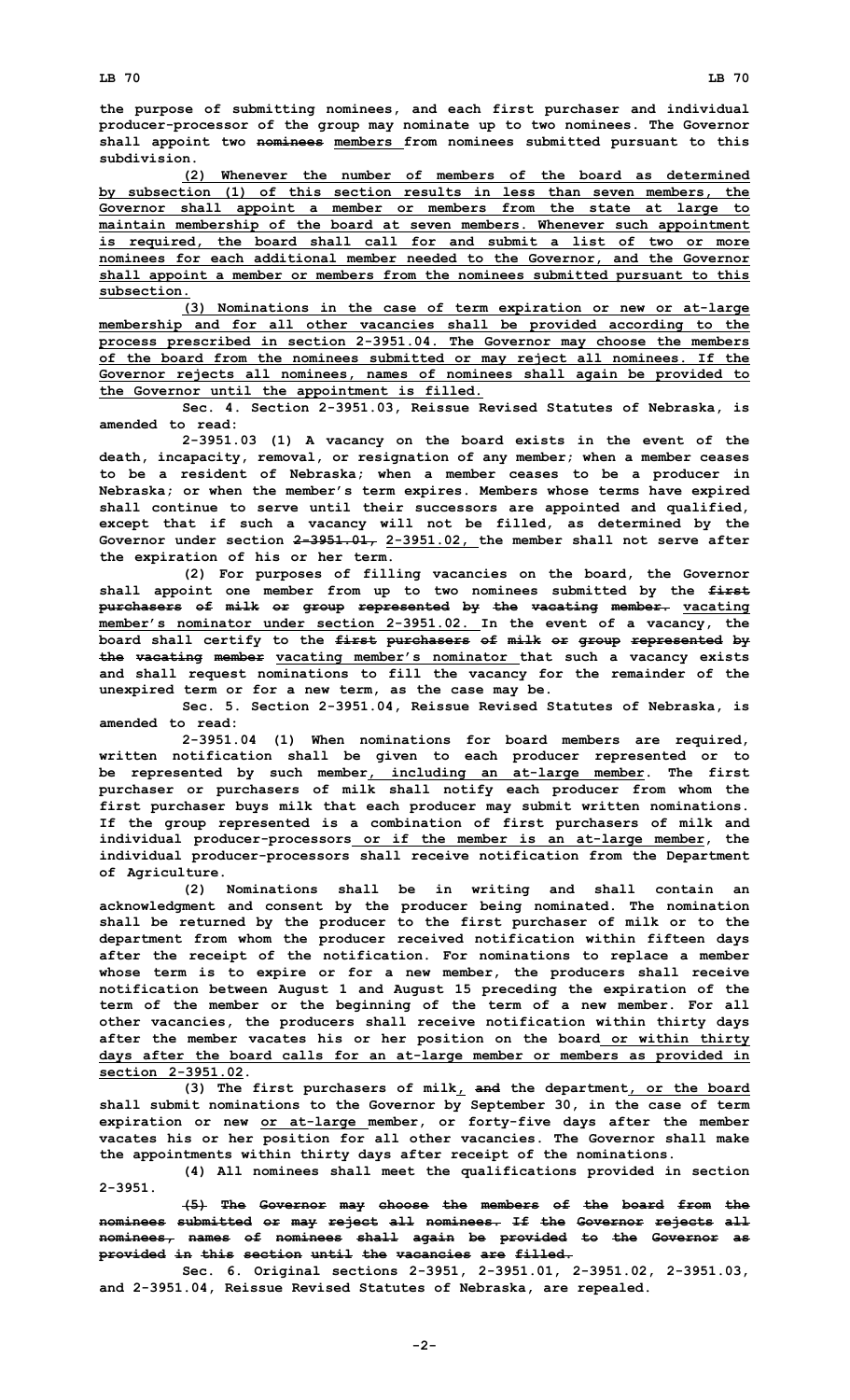**the purpose of submitting nominees, and each first purchaser and individual producer-processor of the group may nominate up to two nominees. The Governor shall appoint two nominees members from nominees submitted pursuant to this subdivision.**

**(2) Whenever the number of members of the board as determined by subsection (1) of this section results in less than seven members, the Governor shall appoint <sup>a</sup> member or members from the state at large to maintain membership of the board at seven members. Whenever such appointment is required, the board shall call for and submit <sup>a</sup> list of two or more nominees for each additional member needed to the Governor, and the Governor shall appoint <sup>a</sup> member or members from the nominees submitted pursuant to this subsection.**

**(3) Nominations in the case of term expiration or new or at-large membership and for all other vacancies shall be provided according to the process prescribed in section 2-3951.04. The Governor may choose the members of the board from the nominees submitted or may reject all nominees. If the Governor rejects all nominees, names of nominees shall again be provided to the Governor until the appointment is filled.**

**Sec. 4. Section 2-3951.03, Reissue Revised Statutes of Nebraska, is amended to read:**

**2-3951.03 (1) <sup>A</sup> vacancy on the board exists in the event of the death, incapacity, removal, or resignation of any member; when <sup>a</sup> member ceases to be <sup>a</sup> resident of Nebraska; when <sup>a</sup> member ceases to be <sup>a</sup> producer in Nebraska; or when the member's term expires. Members whose terms have expired shall continue to serve until their successors are appointed and qualified, except that if such <sup>a</sup> vacancy will not be filled, as determined by the Governor under section 2-3951.01, 2-3951.02, the member shall not serve after the expiration of his or her term.**

**(2) For purposes of filling vacancies on the board, the Governor shall appoint one member from up to two nominees submitted by the first purchasers of milk or group represented by the vacating member. vacating member's nominator under section 2-3951.02. In the event of <sup>a</sup> vacancy, the board shall certify to the first purchasers of milk or group represented by the vacating member vacating member's nominator that such <sup>a</sup> vacancy exists and shall request nominations to fill the vacancy for the remainder of the unexpired term or for <sup>a</sup> new term, as the case may be.**

**Sec. 5. Section 2-3951.04, Reissue Revised Statutes of Nebraska, is amended to read:**

**2-3951.04 (1) When nominations for board members are required, written notification shall be given to each producer represented or to be represented by such member, including an at-large member. The first purchaser or purchasers of milk shall notify each producer from whom the first purchaser buys milk that each producer may submit written nominations. If the group represented is <sup>a</sup> combination of first purchasers of milk and individual producer-processors or if the member is an at-large member, the individual producer-processors shall receive notification from the Department of Agriculture.**

**(2) Nominations shall be in writing and shall contain an acknowledgment and consent by the producer being nominated. The nomination shall be returned by the producer to the first purchaser of milk or to the department from whom the producer received notification within fifteen days after the receipt of the notification. For nominations to replace <sup>a</sup> member whose term is to expire or for <sup>a</sup> new member, the producers shall receive notification between August 1 and August 15 preceding the expiration of the term of the member or the beginning of the term of <sup>a</sup> new member. For all other vacancies, the producers shall receive notification within thirty days after the member vacates his or her position on the board or within thirty days after the board calls for an at-large member or members as provided in section 2-3951.02.**

**(3) The first purchasers of milk, and the department, or the board shall submit nominations to the Governor by September 30, in the case of term expiration or new or at-large member, or forty-five days after the member vacates his or her position for all other vacancies. The Governor shall make the appointments within thirty days after receipt of the nominations.**

**(4) All nominees shall meet the qualifications provided in section 2-3951.**

**(5) The Governor may choose the members of the board from the nominees submitted or may reject all nominees. If the Governor rejects all nominees, names of nominees shall again be provided to the Governor as provided in this section until the vacancies are filled.**

**Sec. 6. Original sections 2-3951, 2-3951.01, 2-3951.02, 2-3951.03, and 2-3951.04, Reissue Revised Statutes of Nebraska, are repealed.**